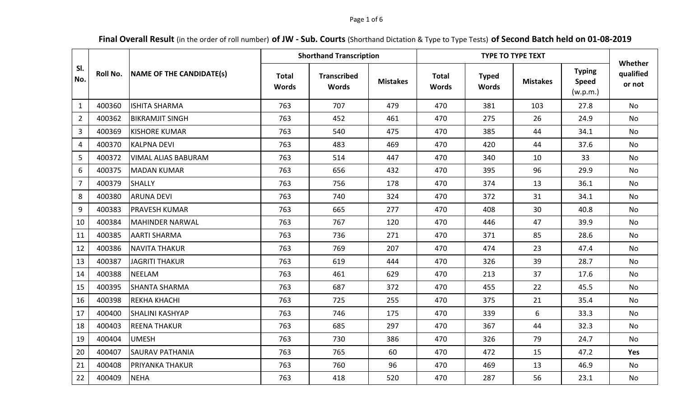## Page 1 of 6

**Final Overall Result** (in the order of roll number) **of JW - Sub. Courts** (Shorthand Dictation & Type to Type Tests) **of Second Batch held on 01-08-2019**

|                |          |                                 |                              | <b>Shorthand Transcription</b>     |                 |                              | <b>TYPE TO TYPE TEXT</b>     |                 |                                           | Whether             |  |
|----------------|----------|---------------------------------|------------------------------|------------------------------------|-----------------|------------------------------|------------------------------|-----------------|-------------------------------------------|---------------------|--|
| SI.<br>No.     | Roll No. | <b>NAME OF THE CANDIDATE(s)</b> | <b>Total</b><br><b>Words</b> | <b>Transcribed</b><br><b>Words</b> | <b>Mistakes</b> | <b>Total</b><br><b>Words</b> | <b>Typed</b><br><b>Words</b> | <b>Mistakes</b> | <b>Typing</b><br><b>Speed</b><br>(w.p.m.) | qualified<br>or not |  |
| $\mathbf{1}$   | 400360   | <b>ISHITA SHARMA</b>            | 763                          | 707                                | 479             | 470                          | 381                          | 103             | 27.8                                      | No                  |  |
| $\overline{2}$ | 400362   | <b>BIKRAMJIT SINGH</b>          | 763                          | 452                                | 461             | 470                          | 275                          | 26              | 24.9                                      | <b>No</b>           |  |
| 3              | 400369   | <b>KISHORE KUMAR</b>            | 763                          | 540                                | 475             | 470                          | 385                          | 44              | 34.1                                      | <b>No</b>           |  |
| 4              | 400370   | <b>KALPNA DEVI</b>              | 763                          | 483                                | 469             | 470                          | 420                          | 44              | 37.6                                      | No                  |  |
| 5              | 400372   | <b>VIMAL ALIAS BABURAM</b>      | 763                          | 514                                | 447             | 470                          | 340                          | 10              | 33                                        | No                  |  |
| 6              | 400375   | <b>MADAN KUMAR</b>              | 763                          | 656                                | 432             | 470                          | 395                          | 96              | 29.9                                      | <b>No</b>           |  |
| $\overline{7}$ | 400379   | <b>SHALLY</b>                   | 763                          | 756                                | 178             | 470                          | 374                          | 13              | 36.1                                      | No                  |  |
| 8              | 400380   | <b>ARUNA DEVI</b>               | 763                          | 740                                | 324             | 470                          | 372                          | 31              | 34.1                                      | No                  |  |
| 9              | 400383   | <b>PRAVESH KUMAR</b>            | 763                          | 665                                | 277             | 470                          | 408                          | 30              | 40.8                                      | No                  |  |
| 10             | 400384   | MAHINDER NARWAL                 | 763                          | 767                                | 120             | 470                          | 446                          | 47              | 39.9                                      | <b>No</b>           |  |
| 11             | 400385   | <b>AARTI SHARMA</b>             | 763                          | 736                                | 271             | 470                          | 371                          | 85              | 28.6                                      | <b>No</b>           |  |
| 12             | 400386   | <b>NAVITA THAKUR</b>            | 763                          | 769                                | 207             | 470                          | 474                          | 23              | 47.4                                      | No                  |  |
| 13             | 400387   | <b>JAGRITI THAKUR</b>           | 763                          | 619                                | 444             | 470                          | 326                          | 39              | 28.7                                      | No                  |  |
| 14             | 400388   | <b>NEELAM</b>                   | 763                          | 461                                | 629             | 470                          | 213                          | 37              | 17.6                                      | No                  |  |
| 15             | 400395   | <b>SHANTA SHARMA</b>            | 763                          | 687                                | 372             | 470                          | 455                          | 22              | 45.5                                      | No                  |  |
| 16             | 400398   | <b>REKHA KHACHI</b>             | 763                          | 725                                | 255             | 470                          | 375                          | 21              | 35.4                                      | No                  |  |
| 17             | 400400   | <b>SHALINI KASHYAP</b>          | 763                          | 746                                | 175             | 470                          | 339                          | 6               | 33.3                                      | <b>No</b>           |  |
| 18             | 400403   | <b>REENA THAKUR</b>             | 763                          | 685                                | 297             | 470                          | 367                          | 44              | 32.3                                      | No                  |  |
| 19             | 400404   | <b>UMESH</b>                    | 763                          | 730                                | 386             | 470                          | 326                          | 79              | 24.7                                      | <b>No</b>           |  |
| 20             | 400407   | <b>SAURAV PATHANIA</b>          | 763                          | 765                                | 60              | 470                          | 472                          | 15              | 47.2                                      | Yes                 |  |
| 21             | 400408   | PRIYANKA THAKUR                 | 763                          | 760                                | 96              | 470                          | 469                          | 13              | 46.9                                      | <b>No</b>           |  |
| 22             | 400409   | <b>NEHA</b>                     | 763                          | 418                                | 520             | 470                          | 287                          | 56              | 23.1                                      | No                  |  |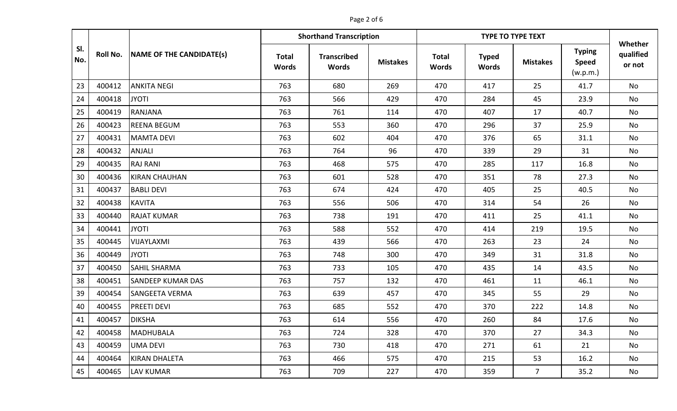# Page 2 of 6

|            |          |                          |                              | <b>Shorthand Transcription</b>     |                 | <b>TYPE TO TYPE TEXT</b>     |                              |                 |                                           | Whether             |  |
|------------|----------|--------------------------|------------------------------|------------------------------------|-----------------|------------------------------|------------------------------|-----------------|-------------------------------------------|---------------------|--|
| SI.<br>No. | Roll No. | NAME OF THE CANDIDATE(s) | <b>Total</b><br><b>Words</b> | <b>Transcribed</b><br><b>Words</b> | <b>Mistakes</b> | <b>Total</b><br><b>Words</b> | <b>Typed</b><br><b>Words</b> | <b>Mistakes</b> | <b>Typing</b><br><b>Speed</b><br>(w.p.m.) | qualified<br>or not |  |
| 23         | 400412   | <b>ANKITA NEGI</b>       | 763                          | 680                                | 269             | 470                          | 417                          | 25              | 41.7                                      | <b>No</b>           |  |
| 24         | 400418   | <b>JYOTI</b>             | 763                          | 566                                | 429             | 470                          | 284                          | 45              | 23.9                                      | <b>No</b>           |  |
| 25         | 400419   | RANJANA                  | 763                          | 761                                | 114             | 470                          | 407                          | 17              | 40.7                                      | No                  |  |
| 26         | 400423   | <b>REENA BEGUM</b>       | 763                          | 553                                | 360             | 470                          | 296                          | 37              | 25.9                                      | No                  |  |
| 27         | 400431   | <b>MAMTA DEVI</b>        | 763                          | 602                                | 404             | 470                          | 376                          | 65              | 31.1                                      | No                  |  |
| 28         | 400432   | <b>ANJALI</b>            | 763                          | 764                                | 96              | 470                          | 339                          | 29              | 31                                        | No                  |  |
| 29         | 400435   | <b>RAJ RANI</b>          | 763                          | 468                                | 575             | 470                          | 285                          | 117             | 16.8                                      | No                  |  |
| 30         | 400436   | <b>KIRAN CHAUHAN</b>     | 763                          | 601                                | 528             | 470                          | 351                          | 78              | 27.3                                      | No                  |  |
| 31         | 400437   | <b>BABLI DEVI</b>        | 763                          | 674                                | 424             | 470                          | 405                          | 25              | 40.5                                      | No                  |  |
| 32         | 400438   | <b>KAVITA</b>            | 763                          | 556                                | 506             | 470                          | 314                          | 54              | 26                                        | <b>No</b>           |  |
| 33         | 400440   | <b>RAJAT KUMAR</b>       | 763                          | 738                                | 191             | 470                          | 411                          | 25              | 41.1                                      | No                  |  |
| 34         | 400441   | <b>JYOTI</b>             | 763                          | 588                                | 552             | 470                          | 414                          | 219             | 19.5                                      | No                  |  |
| 35         | 400445   | VIJAYLAXMI               | 763                          | 439                                | 566             | 470                          | 263                          | 23              | 24                                        | No                  |  |
| 36         | 400449   | <b>JYOTI</b>             | 763                          | 748                                | 300             | 470                          | 349                          | 31              | 31.8                                      | <b>No</b>           |  |
| 37         | 400450   | <b>SAHIL SHARMA</b>      | 763                          | 733                                | 105             | 470                          | 435                          | 14              | 43.5                                      | No                  |  |
| 38         | 400451   | <b>SANDEEP KUMAR DAS</b> | 763                          | 757                                | 132             | 470                          | 461                          | 11              | 46.1                                      | No                  |  |
| 39         | 400454   | <b>SANGEETA VERMA</b>    | 763                          | 639                                | 457             | 470                          | 345                          | 55              | 29                                        | No                  |  |
| 40         | 400455   | <b>PREETI DEVI</b>       | 763                          | 685                                | 552             | 470                          | 370                          | 222             | 14.8                                      | No                  |  |
| 41         | 400457   | <b>DIKSHA</b>            | 763                          | 614                                | 556             | 470                          | 260                          | 84              | 17.6                                      | No                  |  |
| 42         | 400458   | MADHUBALA                | 763                          | 724                                | 328             | 470                          | 370                          | 27              | 34.3                                      | No                  |  |
| 43         | 400459   | <b>UMA DEVI</b>          | 763                          | 730                                | 418             | 470                          | 271                          | 61              | 21                                        | No                  |  |
| 44         | 400464   | KIRAN DHALETA            | 763                          | 466                                | 575             | 470                          | 215                          | 53              | 16.2                                      | No                  |  |
| 45         | 400465   | <b>LAV KUMAR</b>         | 763                          | 709                                | 227             | 470                          | 359                          | $\overline{7}$  | 35.2                                      | No                  |  |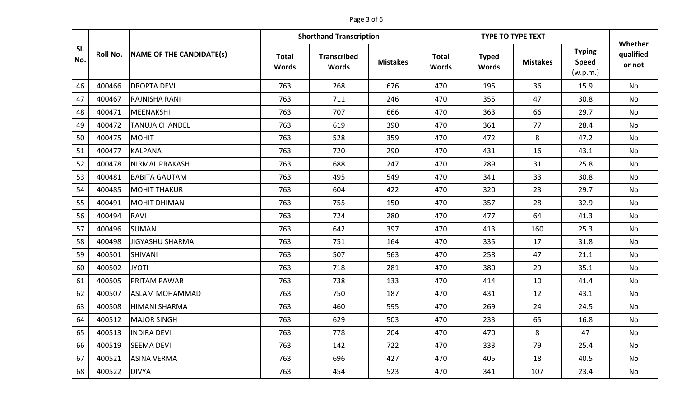# Page 3 of 6

|            |          |                          |                              | <b>Shorthand Transcription</b>     |                 | <b>TYPE TO TYPE TEXT</b>     |                              |                 |                                           | Whether             |  |
|------------|----------|--------------------------|------------------------------|------------------------------------|-----------------|------------------------------|------------------------------|-----------------|-------------------------------------------|---------------------|--|
| SI.<br>No. | Roll No. | NAME OF THE CANDIDATE(s) | <b>Total</b><br><b>Words</b> | <b>Transcribed</b><br><b>Words</b> | <b>Mistakes</b> | <b>Total</b><br><b>Words</b> | <b>Typed</b><br><b>Words</b> | <b>Mistakes</b> | <b>Typing</b><br><b>Speed</b><br>(w.p.m.) | qualified<br>or not |  |
| 46         | 400466   | <b>DROPTA DEVI</b>       | 763                          | 268                                | 676             | 470                          | 195                          | 36              | 15.9                                      | <b>No</b>           |  |
| 47         | 400467   | <b>RAJNISHA RANI</b>     | 763                          | 711                                | 246             | 470                          | 355                          | 47              | 30.8                                      | <b>No</b>           |  |
| 48         | 400471   | MEENAKSHI                | 763                          | 707                                | 666             | 470                          | 363                          | 66              | 29.7                                      | <b>No</b>           |  |
| 49         | 400472   | <b>TANUJA CHANDEL</b>    | 763                          | 619                                | 390             | 470                          | 361                          | 77              | 28.4                                      | No                  |  |
| 50         | 400475   | <b>MOHIT</b>             | 763                          | 528                                | 359             | 470                          | 472                          | 8               | 47.2                                      | No                  |  |
| 51         | 400477   | <b>KALPANA</b>           | 763                          | 720                                | 290             | 470                          | 431                          | 16              | 43.1                                      | No                  |  |
| 52         | 400478   | <b>NIRMAL PRAKASH</b>    | 763                          | 688                                | 247             | 470                          | 289                          | 31              | 25.8                                      | No                  |  |
| 53         | 400481   | <b>BABITA GAUTAM</b>     | 763                          | 495                                | 549             | 470                          | 341                          | 33              | 30.8                                      | No                  |  |
| 54         | 400485   | MOHIT THAKUR             | 763                          | 604                                | 422             | 470                          | 320                          | 23              | 29.7                                      | No                  |  |
| 55         | 400491   | MOHIT DHIMAN             | 763                          | 755                                | 150             | 470                          | 357                          | 28              | 32.9                                      | No                  |  |
| 56         | 400494   | <b>RAVI</b>              | 763                          | 724                                | 280             | 470                          | 477                          | 64              | 41.3                                      | No                  |  |
| 57         | 400496   | <b>SUMAN</b>             | 763                          | 642                                | 397             | 470                          | 413                          | 160             | 25.3                                      | <b>No</b>           |  |
| 58         | 400498   | JIGYASHU SHARMA          | 763                          | 751                                | 164             | 470                          | 335                          | 17              | 31.8                                      | No                  |  |
| 59         | 400501   | <b>SHIVANI</b>           | 763                          | 507                                | 563             | 470                          | 258                          | 47              | 21.1                                      | No                  |  |
| 60         | 400502   | <b>JYOTI</b>             | 763                          | 718                                | 281             | 470                          | 380                          | 29              | 35.1                                      | No                  |  |
| 61         | 400505   | <b>PRITAM PAWAR</b>      | 763                          | 738                                | 133             | 470                          | 414                          | 10              | 41.4                                      | <b>No</b>           |  |
| 62         | 400507   | <b>ASLAM MOHAMMAD</b>    | 763                          | 750                                | 187             | 470                          | 431                          | 12              | 43.1                                      | <b>No</b>           |  |
| 63         | 400508   | <b>HIMANI SHARMA</b>     | 763                          | 460                                | 595             | 470                          | 269                          | 24              | 24.5                                      | No                  |  |
| 64         | 400512   | <b>MAJOR SINGH</b>       | 763                          | 629                                | 503             | 470                          | 233                          | 65              | 16.8                                      | No                  |  |
| 65         | 400513   | <b>INDIRA DEVI</b>       | 763                          | 778                                | 204             | 470                          | 470                          | 8               | 47                                        | No                  |  |
| 66         | 400519   | <b>SEEMA DEVI</b>        | 763                          | 142                                | 722             | 470                          | 333                          | 79              | 25.4                                      | No                  |  |
| 67         | 400521   | <b>ASINA VERMA</b>       | 763                          | 696                                | 427             | 470                          | 405                          | 18              | 40.5                                      | No                  |  |
| 68         | 400522   | <b>DIVYA</b>             | 763                          | 454                                | 523             | 470                          | 341                          | 107             | 23.4                                      | No                  |  |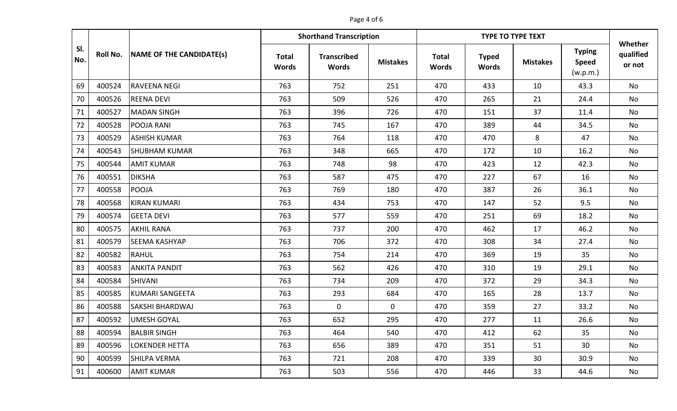# Page 4 of 6

|            | <b>Shorthand Transcription</b> |                          |                              |                                    |                 |                              | <b>TYPE TO TYPE TEXT</b>     |                 |                                           |                                |
|------------|--------------------------------|--------------------------|------------------------------|------------------------------------|-----------------|------------------------------|------------------------------|-----------------|-------------------------------------------|--------------------------------|
| SI.<br>No. | <b>Roll No.</b>                | NAME OF THE CANDIDATE(s) | <b>Total</b><br><b>Words</b> | <b>Transcribed</b><br><b>Words</b> | <b>Mistakes</b> | <b>Total</b><br><b>Words</b> | <b>Typed</b><br><b>Words</b> | <b>Mistakes</b> | <b>Typing</b><br><b>Speed</b><br>(w.p.m.) | Whether<br>qualified<br>or not |
| 69         | 400524                         | <b>RAVEENA NEGI</b>      | 763                          | 752                                | 251             | 470                          | 433                          | 10              | 43.3                                      | <b>No</b>                      |
| 70         | 400526                         | <b>REENA DEVI</b>        | 763                          | 509                                | 526             | 470                          | 265                          | 21              | 24.4                                      | No                             |
| 71         | 400527                         | <b>MADAN SINGH</b>       | 763                          | 396                                | 726             | 470                          | 151                          | 37              | 11.4                                      | No                             |
| 72         | 400528                         | <b>POOJA RANI</b>        | 763                          | 745                                | 167             | 470                          | 389                          | 44              | 34.5                                      | No                             |
| 73         | 400529                         | <b>ASHISH KUMAR</b>      | 763                          | 764                                | 118             | 470                          | 470                          | 8               | 47                                        | No                             |
| 74         | 400543                         | <b>SHUBHAM KUMAR</b>     | 763                          | 348                                | 665             | 470                          | 172                          | 10              | 16.2                                      | No                             |
| 75         | 400544                         | <b>AMIT KUMAR</b>        | 763                          | 748                                | 98              | 470                          | 423                          | 12              | 42.3                                      | No                             |
| 76         | 400551                         | <b>DIKSHA</b>            | 763                          | 587                                | 475             | 470                          | 227                          | 67              | 16                                        | No                             |
| 77         | 400558                         | POOJA                    | 763                          | 769                                | 180             | 470                          | 387                          | 26              | 36.1                                      | No                             |
| 78         | 400568                         | <b>KIRAN KUMARI</b>      | 763                          | 434                                | 753             | 470                          | 147                          | 52              | 9.5                                       | No                             |
| 79         | 400574                         | <b>GEETA DEVI</b>        | 763                          | 577                                | 559             | 470                          | 251                          | 69              | 18.2                                      | <b>No</b>                      |
| 80         | 400575                         | <b>AKHIL RANA</b>        | 763                          | 737                                | 200             | 470                          | 462                          | 17              | 46.2                                      | No                             |
| 81         | 400579                         | <b>SEEMA KASHYAP</b>     | 763                          | 706                                | 372             | 470                          | 308                          | 34              | 27.4                                      | No                             |
| 82         | 400582                         | <b>RAHUL</b>             | 763                          | 754                                | 214             | 470                          | 369                          | 19              | 35                                        | No                             |
| 83         | 400583                         | <b>ANKITA PANDIT</b>     | 763                          | 562                                | 426             | 470                          | 310                          | 19              | 29.1                                      | <b>No</b>                      |
| 84         | 400584                         | <b>SHIVANI</b>           | 763                          | 734                                | 209             | 470                          | 372                          | 29              | 34.3                                      | No                             |
| 85         | 400585                         | KUMARI SANGEETA          | 763                          | 293                                | 684             | 470                          | 165                          | 28              | 13.7                                      | No                             |
| 86         | 400588                         | <b>SAKSHI BHARDWAJ</b>   | 763                          | $\mathbf 0$                        | 0               | 470                          | 359                          | 27              | 33.2                                      | No                             |
| 87         | 400592                         | <b>UMESH GOYAL</b>       | 763                          | 652                                | 295             | 470                          | 277                          | 11              | 26.6                                      | No                             |
| 88         | 400594                         | <b>BALBIR SINGH</b>      | 763                          | 464                                | 540             | 470                          | 412                          | 62              | 35                                        | No                             |
| 89         | 400596                         | <b>LOKENDER HETTA</b>    | 763                          | 656                                | 389             | 470                          | 351                          | 51              | 30                                        | No                             |
| 90         | 400599                         | <b>SHILPA VERMA</b>      | 763                          | 721                                | 208             | 470                          | 339                          | 30              | 30.9                                      | No                             |
| 91         | 400600                         | <b>AMIT KUMAR</b>        | 763                          | 503                                | 556             | 470                          | 446                          | 33              | 44.6                                      | No                             |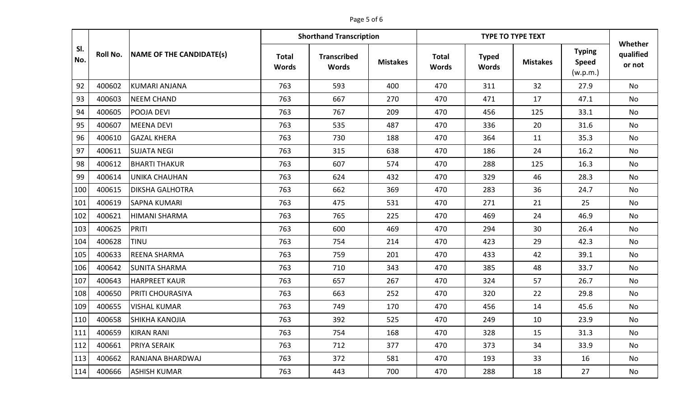# Page 5 of 6

|            |                 |                          | <b>Shorthand Transcription</b><br><b>TYPE TO TYPE TEXT</b> |                                    |                 |                              |                              |                 |                                           |                                |
|------------|-----------------|--------------------------|------------------------------------------------------------|------------------------------------|-----------------|------------------------------|------------------------------|-----------------|-------------------------------------------|--------------------------------|
| SI.<br>No. | <b>Roll No.</b> | NAME OF THE CANDIDATE(s) | <b>Total</b><br><b>Words</b>                               | <b>Transcribed</b><br><b>Words</b> | <b>Mistakes</b> | <b>Total</b><br><b>Words</b> | <b>Typed</b><br><b>Words</b> | <b>Mistakes</b> | <b>Typing</b><br><b>Speed</b><br>(w.p.m.) | Whether<br>qualified<br>or not |
| 92         | 400602          | <b>KUMARI ANJANA</b>     | 763                                                        | 593                                | 400             | 470                          | 311                          | 32              | 27.9                                      | <b>No</b>                      |
| 93         | 400603          | <b>NEEM CHAND</b>        | 763                                                        | 667                                | 270             | 470                          | 471                          | 17              | 47.1                                      | <b>No</b>                      |
| 94         | 400605          | POOJA DEVI               | 763                                                        | 767                                | 209             | 470                          | 456                          | 125             | 33.1                                      | No                             |
| 95         | 400607          | <b>MEENA DEVI</b>        | 763                                                        | 535                                | 487             | 470                          | 336                          | 20              | 31.6                                      | No                             |
| 96         | 400610          | <b>GAZAL KHERA</b>       | 763                                                        | 730                                | 188             | 470                          | 364                          | 11              | 35.3                                      | No                             |
| 97         | 400611          | <b>SUJATA NEGI</b>       | 763                                                        | 315                                | 638             | 470                          | 186                          | 24              | 16.2                                      | No                             |
| 98         | 400612          | <b>BHARTI THAKUR</b>     | 763                                                        | 607                                | 574             | 470                          | 288                          | 125             | 16.3                                      | No                             |
| 99         | 400614          | <b>UNIKA CHAUHAN</b>     | 763                                                        | 624                                | 432             | 470                          | 329                          | 46              | 28.3                                      | No                             |
| 100        | 400615          | <b>DIKSHA GALHOTRA</b>   | 763                                                        | 662                                | 369             | 470                          | 283                          | 36              | 24.7                                      | No                             |
| 101        | 400619          | <b>SAPNA KUMARI</b>      | 763                                                        | 475                                | 531             | 470                          | 271                          | 21              | 25                                        | <b>No</b>                      |
| 102        | 400621          | <b>HIMANI SHARMA</b>     | 763                                                        | 765                                | 225             | 470                          | 469                          | 24              | 46.9                                      | No                             |
| 103        | 400625          | PRITI                    | 763                                                        | 600                                | 469             | 470                          | 294                          | 30              | 26.4                                      | No                             |
| 104        | 400628          | <b>TINU</b>              | 763                                                        | 754                                | 214             | 470                          | 423                          | 29              | 42.3                                      | No                             |
| 105        | 400633          | <b>REENA SHARMA</b>      | 763                                                        | 759                                | 201             | 470                          | 433                          | 42              | 39.1                                      | <b>No</b>                      |
| 106        | 400642          | <b>SUNITA SHARMA</b>     | 763                                                        | 710                                | 343             | 470                          | 385                          | 48              | 33.7                                      | No                             |
| 107        | 400643          | <b>HARPREET KAUR</b>     | 763                                                        | 657                                | 267             | 470                          | 324                          | 57              | 26.7                                      | <b>No</b>                      |
| 108        | 400650          | <b>PRITI CHOURASIYA</b>  | 763                                                        | 663                                | 252             | 470                          | 320                          | 22              | 29.8                                      | No                             |
| 109        | 400655          | <b>VISHAL KUMAR</b>      | 763                                                        | 749                                | 170             | 470                          | 456                          | 14              | 45.6                                      | No                             |
| 110        | 400658          | <b>SHIKHA KANOJIA</b>    | 763                                                        | 392                                | 525             | 470                          | 249                          | 10              | 23.9                                      | No                             |
| 111        | 400659          | KIRAN RANI               | 763                                                        | 754                                | 168             | 470                          | 328                          | 15              | 31.3                                      | No                             |
| 112        | 400661          | <b>PRIYA SERAIK</b>      | 763                                                        | 712                                | 377             | 470                          | 373                          | 34              | 33.9                                      | No                             |
| 113        | 400662          | RANJANA BHARDWAJ         | 763                                                        | 372                                | 581             | 470                          | 193                          | 33              | 16                                        | No                             |
| 114        | 400666          | <b>ASHISH KUMAR</b>      | 763                                                        | 443                                | 700             | 470                          | 288                          | 18              | 27                                        | No                             |